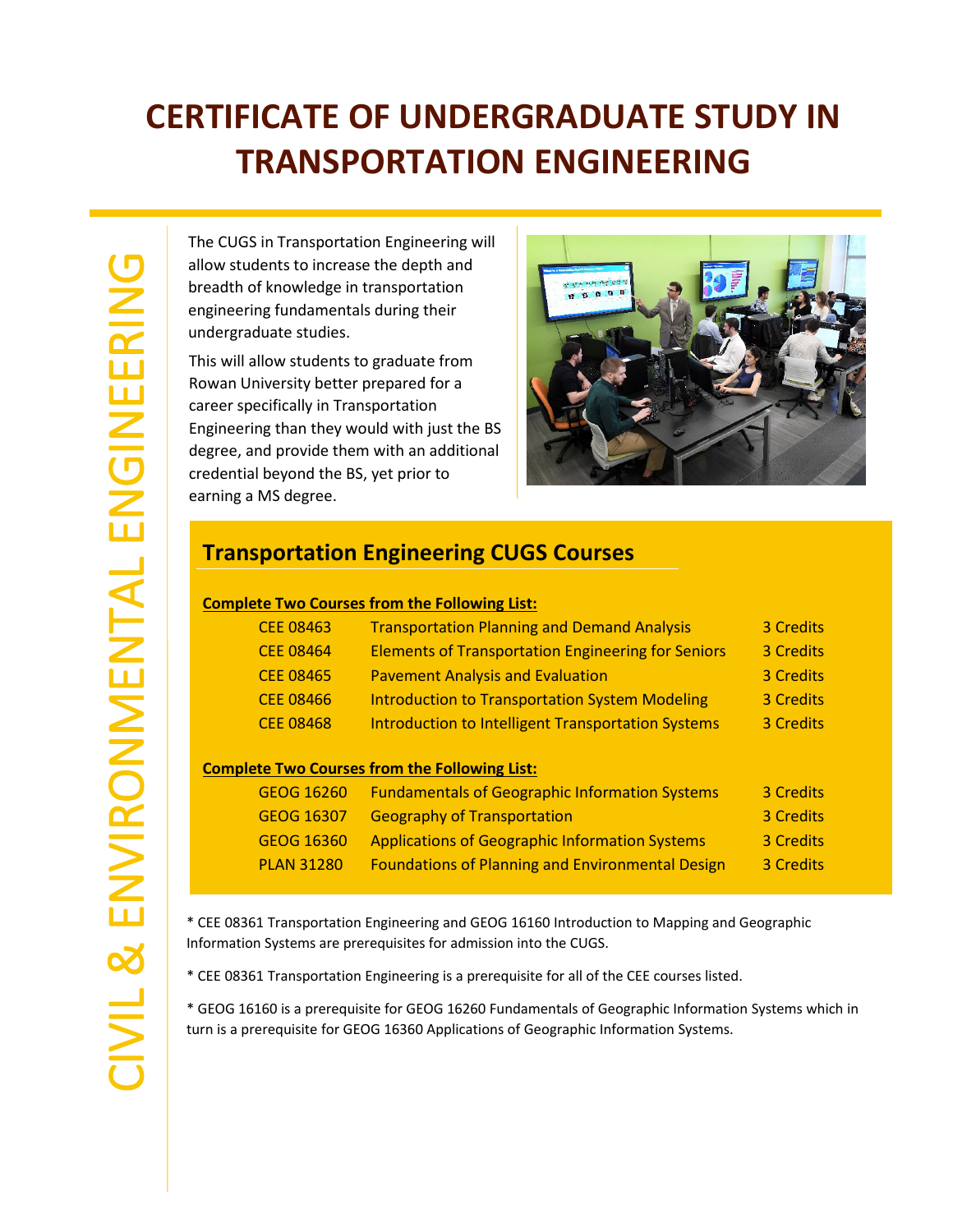## **CERTIFICATE OF UNDERGRADUATE STUDY IN TRANSPORTATION ENGINEERING**

The CUGS in Transportation Engineering will allow students to increase the depth and breadth of knowledge in transportation engineering fundamentals during their undergraduate studies.

This will allow students to graduate from Rowan University better prepared for a career specifically in Transportation Engineering than they would with just the BS degree, and provide them with an additional credential beyond the BS, yet prior to earning a MS degree.



## **Transportation Engineering CUGS Courses**

### **Complete Two Courses from the Following List:**

| <b>CEE 08463</b> | <b>Transportation Planning and Demand Analysis</b>        | 3 Credits |
|------------------|-----------------------------------------------------------|-----------|
| <b>CEE 08464</b> | <b>Elements of Transportation Engineering for Seniors</b> | 3 Credits |
| <b>CEE 08465</b> | <b>Pavement Analysis and Evaluation</b>                   | 3 Credits |
| <b>CEE 08466</b> | <b>Introduction to Transportation System Modeling</b>     | 3 Credits |
| <b>CEE 08468</b> | <b>Introduction to Intelligent Transportation Systems</b> | 3 Credits |
|                  |                                                           |           |

### **Complete Two Courses from the Following List:**

| GEOG 16260        | <b>Fundamentals of Geographic Information Systems</b>   | 3 Credits |
|-------------------|---------------------------------------------------------|-----------|
| <b>GEOG 16307</b> | <b>Geography of Transportation</b>                      | 3 Credits |
| GEOG 16360        | <b>Applications of Geographic Information Systems</b>   | 3 Credits |
| <b>PLAN 31280</b> | <b>Foundations of Planning and Environmental Design</b> | 3 Credits |
|                   |                                                         |           |

\* CEE 08361 Transportation Engineering and GEOG 16160 Introduction to Mapping and Geographic Information Systems are prerequisites for admission into the CUGS.

\* CEE 08361 Transportation Engineering is a prerequisite for all of the CEE courses listed.

\* GEOG 16160 is a prerequisite for GEOG 16260 Fundamentals of Geographic Information Systems which in turn is a prerequisite for GEOG 16360 Applications of Geographic Information Systems.